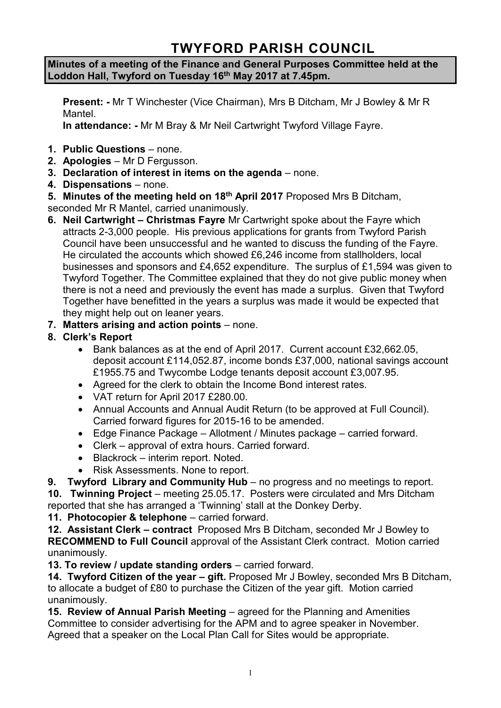# **TWYFORD PARISH COUNCIL**

**Minutes of a meeting of the Finance and General Purposes Committee held at the Loddon Hall, Twyford on Tuesday 16th May 2017 at 7.45pm.**

**Present: -** Mr T Winchester (Vice Chairman), Mrs B Ditcham, Mr J Bowley & Mr R Mantel.

**In attendance: -** Mr M Bray & Mr Neil Cartwright Twyford Village Fayre.

- **1. Public Questions** none.
- **2. Apologies** Mr D Fergusson.
- **3. Declaration of interest in items on the agenda**  none.
- **4. Dispensations**  none.
- **5. Minutes of the meeting held on 18th April 2017** Proposed Mrs B Ditcham,

seconded Mr R Mantel, carried unanimously.

- **6. Neil Cartwright – Christmas Fayre** Mr Cartwright spoke about the Fayre which attracts 2-3,000 people. His previous applications for grants from Twyford Parish Council have been unsuccessful and he wanted to discuss the funding of the Fayre. He circulated the accounts which showed £6,246 income from stallholders, local businesses and sponsors and £4,652 expenditure. The surplus of £1,594 was given to Twyford Together. The Committee explained that they do not give public money when there is not a need and previously the event has made a surplus. Given that Twyford Together have benefitted in the years a surplus was made it would be expected that they might help out on leaner years.
- **7. Matters arising and action points** none.
- **8. Clerk's Report**
	- Bank balances as at the end of April 2017. Current account £32,662.05, deposit account £114,052.87, income bonds £37,000, national savings account £1955.75 and Twycombe Lodge tenants deposit account £3,007.95.
	- Agreed for the clerk to obtain the Income Bond interest rates.
	- VAT return for April 2017 £280.00.
	- Annual Accounts and Annual Audit Return (to be approved at Full Council). Carried forward figures for 2015-16 to be amended.
	- Edge Finance Package Allotment / Minutes package carried forward.
	- Clerk approval of extra hours. Carried forward.
	- Blackrock interim report. Noted.
	- Risk Assessments. None to report.

**9. Twyford Library and Community Hub** – no progress and no meetings to report.

**10. Twinning Project** – meeting 25.05.17. Posters were circulated and Mrs Ditcham reported that she has arranged a 'Twinning' stall at the Donkey Derby.

**11. Photocopier & telephone** – carried forward.

**12. Assistant Clerk – contract** Proposed Mrs B Ditcham, seconded Mr J Bowley to **RECOMMEND to Full Council** approval of the Assistant Clerk contract. Motion carried unanimously.

**13. To review / update standing orders** – carried forward.

**14. Twyford Citizen of the year – gift.** Proposed Mr J Bowley, seconded Mrs B Ditcham, to allocate a budget of £80 to purchase the Citizen of the year gift. Motion carried unanimously.

**15. Review of Annual Parish Meeting** – agreed for the Planning and Amenities Committee to consider advertising for the APM and to agree speaker in November. Agreed that a speaker on the Local Plan Call for Sites would be appropriate.